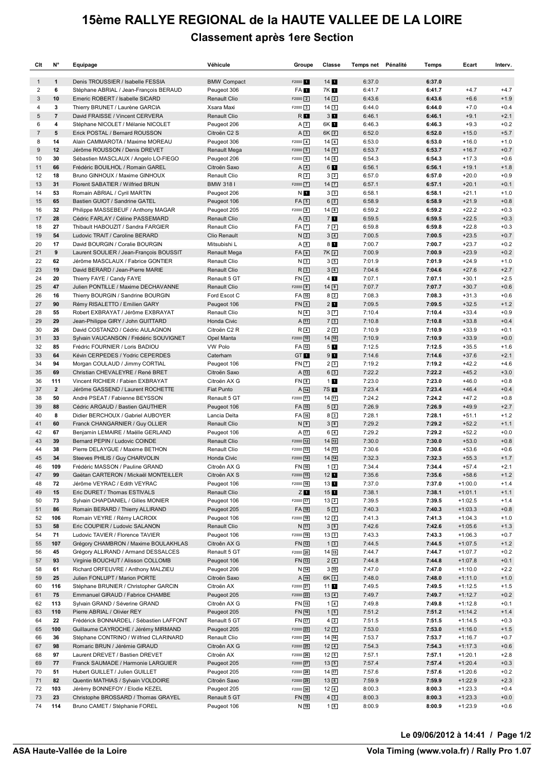## **15ème RALLYE REGIONAL de la HAUTE VALLEE DE LA LOIRE Classement après 1ere Section**

| Clt            | N°                      | Equipage                                                                 | Véhicule                     | Groupe                                    | Classe                           | Temps net Pénalité | Temps            | Ecart                  | Interv.          |
|----------------|-------------------------|--------------------------------------------------------------------------|------------------------------|-------------------------------------------|----------------------------------|--------------------|------------------|------------------------|------------------|
| 1              | $\mathbf{1}$            | Denis TROUSSIER / Isabelle FESSIA                                        | <b>BMW Compact</b>           | F2000 <sup>4</sup>                        | 14                               | 6:37.0             | 6:37.0           |                        |                  |
| 2              | 6                       | Stéphane ABRIAL / Jean-François BERAUD                                   | Peugeot 306                  | FA <sub>1</sub>                           | 7K 1                             | 6:41.7             | 6:41.7           | $+4.7$                 | $+4.7$           |
| 3              | 10                      | Emeric ROBERT / Isabelle SICARD                                          | Renault Clio                 | $F2000$ $\boxed{2}$                       | $14\sqrt{2}$                     | 6:43.6             | 6:43.6           | $+6.6$                 | $+1.9$           |
| 4              | 3                       | Thierry BRUNET / Laurène GARCIA                                          | Xsara Maxi                   | F2000 3                                   | $14\sqrt{3}$                     | 6:44.0             | 6:44.0           | $+7.0$                 | $+0.4$           |
| 5              | $\overline{\mathbf{7}}$ | David FRAISSE / Vincent CERVERA                                          | Renault Clio                 | R <b>I</b>                                | 3 <sub>1</sub>                   | 6:46.1             | 6:46.1           | $+9.1$                 | $+2.1$           |
| 6              | 4                       | Stéphane NICOLET / Mélanie NICOLET                                       | Peugeot 206                  | A2                                        | 6K 1                             | 6:46.3             | 6:46.3           | $+9.3$                 | $+0.2$           |
| $\overline{7}$ | 5                       | Erick POSTAL / Bernard ROUSSON                                           | Citroën C2 S                 | A3                                        | 6K <sub>2</sub>                  | 6:52.0             | 6:52.0           | $+15.0$                | $+5.7$           |
| 8              | 14                      | Alain CAMMAROTA / Maxime MOREAU                                          | Peugeot 306                  | $F2000$ 4                                 | $14\sqrt{4}$                     | 6:53.0             | 6:53.0           | $+16.0$                | $+1.0$           |
| 9              | 12                      | Jérôme ROUSSON / Denis DREVET                                            | Renault Mega                 | $F2000$ 5                                 | $14\boxed{5}$                    | 6:53.7             | 6:53.7           | $+16.7$                | $+0.7$           |
| 10<br>11       | 30<br>66                | Sébastien MASCLAUX / Angelo LO-FIEGO<br>Frédéric BOUILHOL / Romain GAREL | Peugeot 206<br>Citroën Saxo  | $F2000$ 6<br>$A\overline{4}$              | $14$ 6                           | 6:54.3<br>6:56.1   | 6:54.3<br>6:56.1 | $+17.3$<br>$+19.1$     | $+0.6$<br>$+1.8$ |
| 12             | 18                      | Bruno GINHOUX / Maxime GINHOUX                                           | Renault Clio                 | R <sub>2</sub>                            | 61<br>$3\sqrt{2}$                | 6:57.0             | 6:57.0           | $+20.0$                | $+0.9$           |
| 13             | 31                      | Florent SABATIER / Wilfried BRUN                                         | <b>BMW 3181</b>              | $F2000$ $7$                               | $14$ $\boxed{7}$                 | 6:57.1             | 6:57.1           | $+20.1$                | $+0.1$           |
| 14             | 53                      | Romain ABRIAL / Cyril MARTIN                                             | Peugeot 206                  | N I                                       | 3 <sub>3</sub>                   | 6:58.1             | 6:58.1           | $+21.1$                | $+1.0$           |
| 15             | 65                      | Bastien GUIOT / Sandrine GATEL                                           | Peugeot 106                  | $FA$ 5                                    | $6\sqrt{2}$                      | 6:58.9             | 6:58.9           | $+21.9$                | $+0.8$           |
| 16             | 32                      | Philippe MASSEBEUF / Anthony MAGAR                                       | Peugeot 205                  | F2000 8                                   | $14$ 8                           | 6:59.2             | 6:59.2           | $+22.2$                | $+0.3$           |
| 17             | 28                      | Cédric FARLAY / Céline PASSEMARD                                         | Renault Clio                 | A6                                        | 7 <sub>1</sub>                   | 6:59.5             | 6:59.5           | $+22.5$                | $+0.3$           |
| 18             | 27                      | Thibault HABOUZIT / Sandra FARGIER                                       | Renault Clio                 | <b>FA</b> 7                               | $7\sqrt{2}$                      | 6:59.8             | 6:59.8           | $+22.8$                | $+0.3$           |
| 19             | 54                      | Ludovic TRAIT / Caroline BERARD                                          | Clio Renault                 | N <sub>2</sub>                            | $3\vert 4$                       | 7:00.5             | 7:00.5           | $+23.5$                | $+0.7$           |
| 20             | 17                      | David BOURGIN / Coralie BOURGIN                                          | Mitsubishi L                 | $A \overline{\smash{\mathsf{8}}\smash{}}$ | 81                               | 7:00.7             | 7:00.7           | $+23.7$                | $+0.2$           |
| 21             | 9                       | Laurent SOULIER / Jean-François BOUSSIT                                  | Renault Mega                 | FA <sub>9</sub>                           | 7K <sub>2</sub>                  | 7:00.9             | 7:00.9           | $+23.9$                | $+0.2$           |
| 22             | 62                      | Jérôme MASCLAUX / Fabrice GONTIER                                        | Renault Clio                 | N <sub>3</sub>                            | 35                               | 7:01.9             | 7:01.9           | $+24.9$                | $+1.0$           |
| 23             | 19                      | David BERARD / Jean-Pierre MARIE                                         | Renault Clio                 | R <sub>3</sub>                            | 36                               | 7:04.6             | 7:04.6           | $+27.6$                | $+2.7$           |
| 24             | 20                      | Thierry FAYE / Candy FAYE                                                | Renault 5 GT                 | <b>FN</b> 4                               | 4 <sub>1</sub>                   | 7:07.1             | 7:07.1           | $+30.1$                | $+2.5$           |
| 25             | 47<br>16                | Julien PONTILLE / Maxime DECHAVANNE                                      | Renault Clio                 | $F2000$ 9<br>FA 10                        | 149                              | 7:07.7             | 7:07.7<br>7:08.3 | $+30.7$<br>$+31.3$     | $+0.6$           |
| 26<br>27       | 90                      | Thierry BOURGIN / Sandrine BOURGIN<br>Rémy RISALETTO / Emilien GARY      | Ford Escot C<br>Peugeot 106  | $FN$ 5                                    | 8 <sub>2</sub><br>2 <sub>1</sub> | 7:08.3<br>7:09.5   | 7:09.5           | $+32.5$                | $+0.6$<br>$+1.2$ |
| 28             | 55                      | Robert EXBRAYAT / Jérôme EXBRAYAT                                        | Renault Clio                 | $N_{6}$                                   | $3\vert 7\rvert$                 | 7:10.4             | 7:10.4           | $+33.4$                | $+0.9$           |
| 29             | 29                      | Jean-Philippe GIRY / John GUITTARD                                       | Honda Civic                  | $A$ 11                                    | 73                               | 7:10.8             | 7:10.8           | $+33.8$                | $+0.4$           |
| 30             | 26                      | David COSTANZO / Cédric AULAGNON                                         | Citroën C2 R                 | $R$ 4                                     | 2 <sub>2</sub>                   | 7:10.9             | 7:10.9           | $+33.9$                | $+0.1$           |
| 31             | 33                      | Sylvain VAUCANSON / Frédéric SOUVIGNET                                   | Opel Manta                   | F2000 10                                  | $14$ 10                          | 7:10.9             | 7:10.9           | $+33.9$                | $+0.0$           |
| 32             | 85                      | Frédric FOURNIER / Loris BADIOU                                          | VW Polo                      | FA 12                                     | 5 <sub>1</sub>                   | 7:12.5             | 7:12.5           | $+35.5$                | $+1.6$           |
| 33             | 64                      | Kévin CERPEDES / Yodric CEPERDES                                         | Caterham                     | GT <sub>1</sub>                           | 9 <sub>1</sub>                   | 7:14.6             | 7:14.6           | $+37.6$                | $+2.1$           |
| 34             | 94                      | Morgan COULAUD / Jimmy CORTIAL                                           | Peugeot 106                  | <b>FN 7</b>                               | 23                               | 7:19.2             | 7:19.2           | $+42.2$                | $+4.6$           |
| 35             | 69                      | Christian CHEVALEYRE / René BRET                                         | Citroën Saxo                 | $A$ 13                                    | 63                               | 7:22.2             | 7:22.2           | $+45.2$                | $+3.0$           |
| 36             | 111                     | Vincent RICHIER / Fabien EXBRAYAT                                        | Citroën AX G                 | FN <sub>8</sub>                           | 11                               | 7:23.0             | 7:23.0           | $+46.0$                | $+0.8$           |
| 37             | $\overline{2}$          | Jéröme GASSEND / Laurent ROCHETTE                                        | Fiat Punto                   | $A$ $14$                                  | 7S 1                             | 7:23.4             | 7:23.4           | $+46.4$                | $+0.4$           |
| 38             | 50                      | André PSEAT / Fabienne BEYSSON                                           | Renault 5 GT                 | F2000 11                                  | $14$ $11$                        | 7:24.2             | 7:24.2           | $+47.2$                | $+0.8$           |
| 39             | 88                      | Cédric ARGAUD / Bastien GAUTHIER                                         | Peugeot 106                  | FA 15                                     | $5\sqrt{2}$                      | 7:26.9             | 7:26.9           | $+49.9$                | $+2.7$           |
| 40<br>41       | 8<br>60                 | Didier BERCHOUX / Gabriel AUBOYER<br>Franck CHANGARNIER / Guy OLLIER     | Lancia Delta<br>Renault Clio | FA 16<br>N <sub>9</sub>                   | 8 <sup>3</sup><br>32             | 7:28.1<br>7:29.2   | 7:28.1<br>7:29.2 | $+51.1$<br>$+52.2$     | $+1.2$<br>$+1.1$ |
| 42             | 67                      | Benjamin LEMAIRE / Maëlle GERLAND                                        | Peugeot 106                  | $A$ 17                                    | $6\sqrt{4}$                      | 7:29.2             | 7:29.2           | $+52.2$                | $+0.0$           |
| 43             | 39                      | Bernard PEPIN / Ludovic COINDE                                           | Renault Clio                 | F2000 12                                  | $14 \overline{12}$               | 7:30.0             | 7:30.0           | $+53.0$                | $+0.8$           |
| 44             | 38                      | Pierre DELAYGUE / Maxime BETHON                                          | Renault Clio                 | F2000 13                                  | $14$ $13$                        | 7:30.6             | 7:30.6           | $+53.6$                | $+0.6$           |
| 45             | 34                      | Steeves PHILIS / Guy CHARVOLIN                                           | Honda Civic                  | F2000 14                                  | $14\overline{14}$                | 7:32.3             | 7:32.3           | $+55.3$                | $+1.7$           |
| 46             | 109                     | Frédéric MASSON / Pauline GRAND                                          | Citroên AX G                 | FN 10                                     | $1\overline{2}$                  | 7:34.4             | 7:34.4           | $+57.4$                | $+2.1$           |
| 47             | 99                      | Gaëtan CARTERON / Mickaël MONTEILLER                                     | Citroën AX S                 | F2000 15                                  | 12 <sub>1</sub>                  | 7:35.6             | 7:35.6           | $+58.6$                | $+1.2$           |
| 48             | 72                      | Jérôme VEYRAC / Edith VEYRAC                                             | Peugeot 106                  | F2000 16                                  | $13$ $\blacksquare$              | 7:37.0             | 7:37.0           | $+1:00.0$              | $+1.4$           |
| 49             | 15                      | Eric DURET / Thomas ESTIVALS                                             | Renault Clio                 | ZI <b>T</b>                               | $15$ 1                           | 7:38.1             | 7:38.1           | $+1:01.1$              | $+1.1$           |
| 50             | 73                      | Sylvain CHAPDANIEL / Gilles MONIER                                       | Peugeot 106                  | F2000 17                                  | $13\sqrt{2}$                     | 7:39.5             | 7:39.5           | $+1:02.5$              | $+1.4$           |
| 51             | 86                      | Romain BERARD / Thierry ALLIRAND                                         | Peugeot 205                  | FA [18]                                   | 53                               | 7:40.3             | 7:40.3           | $+1:03.3$              | $+0.8$           |
| 52             | 106                     | Romain VEYRE / Rémy LACROIX                                              | Peugeot 106                  | F2000 18                                  | $12\sqrt{2}$                     | 7:41.3             | 7:41.3           | $+1:04.3$              | $+1.0$           |
| 53             | 58                      | Eric COUPIER / Ludovic SALANON                                           | Renault Clio                 | $N$ $11$                                  | 39                               | 7:42.6             | 7:42.6           | $+1:05.6$              | $+1.3$           |
| 54<br>55       | 71<br>107               | Ludovic TAVIER / Florence TAVIER<br>Grégory CHAMBRON / Maxime BOULAKHLAS | Peugeot 106                  | F2000 19<br>FN [12]                       | $13\sqrt{3}$<br>$1\sqrt{3}$      | 7:43.3             | 7:43.3<br>7:44.5 | $+1:06.3$              | $+0.7$<br>$+1.2$ |
| 56             | 45                      | Grégory ALLIRAND / Armand DESSALCES                                      | Citroên AX G<br>Renault 5 GT | F2000 20                                  | $14$ $15$                        | 7:44.5<br>7:44.7   | 7:44.7           | $+1:07.5$<br>$+1:07.7$ | $+0.2$           |
| 57             | 93                      | Virginie BOUCHUT / Alisson COLLOMB                                       | Peugeot 106                  | FN [13]                                   | $2\sqrt{4}$                      | 7:44.8             | 7:44.8           | $+1:07.8$              | $+0.1$           |
| 58             | 61                      | Richard ORFEUVRE / Anthony MALZIEU                                       | Peugeot 206                  | $N$ $14$                                  | $3\sqrt{10}$                     | 7:47.0             | 7:47.0           | $+1:10.0$              | $+2.2$           |
| 59             | 25                      | Julien FONLUPT / Marion PORTE                                            | Citroën Saxo                 | A[19]                                     | $6K$ 3                           | 7:48.0             | 7:48.0           | $+1:11.0$              | $+1.0$           |
| 60             | 116                     | Stéphane BRUNIER / Christopher GARCIN                                    | Citroën AX                   | F2000 21                                  | 11                               | 7:49.5             | 7:49.5           | $+1:12.5$              | $+1.5$           |
| 61             | 75                      | Emmanuel GIRAUD / Fabrice CHAMBE                                         | Peugeot 205                  | F2000 22                                  | $13\sqrt{4}$                     | 7:49.7             | 7:49.7           | $+1:12.7$              | $+0.2$           |
| 62             | 113                     | Sylvain GRAND / Séverine GRAND                                           | Citroên AX G                 | FN [15]                                   | $1\vert 4$                       | 7:49.8             | 7:49.8           | $+1:12.8$              | $+0.1$           |
| 63             | 110                     | Pierre ABRIAL / Olivier REY                                              | Peugeot 205                  | FN [16]                                   | $1\sqrt{5}$                      | 7:51.2             | 7:51.2           | $+1:14.2$              | $+1.4$           |
| 64             | 22                      | Frédérick BONNARDEL / Sébastien LAFFONT                                  | Renault 5 GT                 | FN [17]                                   | $4\sqrt{2}$                      | 7:51.5             | 7:51.5           | $+1:14.5$              | $+0.3$           |
| 65             | 100                     | Guillaume CAYROCHE / Jérémy MIRMAND                                      | Peugeot 205                  | F2000 23                                  | $12\sqrt{3}$                     | 7:53.0             | 7:53.0           | $+1:16.0$              | $+1.5$           |
| 66             | 36                      | Stéphane CONTRINO / Wilfried CLARINARD                                   | Renault Clio                 | F2000 24                                  | $14$ $16$                        | 7:53.7             | 7:53.7           | $+1:16.7$              | $+0.7$           |
| 67             | 98                      | Romaric BRUN / Jérémie GIRAUD                                            | Citroên AX G                 | F2000 25                                  | $12\sqrt{4}$                     | 7:54.3             | 7:54.3           | $+1:17.3$              | $+0.6$           |
| 68             | 97                      | Laurent DREVET / Bastien DREVET                                          | Citroën AX                   | F2000 26                                  | $12\sqrt{5}$                     | 7:57.1             | 7:57.1           | $+1:20.1$              | $+2.8$           |
| 69             | 77                      | Franck SAUMADE / Harmonie LARGUIER                                       | Peugeot 205                  | F2000 27                                  | $13\boxed{5}$                    | 7:57.4             | 7:57.4           | $+1:20.4$              | $+0.3$           |
| 70             | 51                      | Hubert GUILLET / Julien GUILLET                                          | Peugeot 205                  | F2000 28                                  | $14$ $17$                        | 7:57.6             | 7:57.6           | $+1:20.6$              | $+0.2$           |
| 71<br>72       | 82<br>103               | Quentin MATHIAS / Sylvain VOLDOIRE<br>Jérèmy BONNEFOY / Elodie KEZEL     | Citroën Saxo<br>Peugeot 205  | F2000 29<br>F2000 30                      | $13$ 6<br>$12\sqrt{6}$           | 7:59.9<br>8:00.3   | 7:59.9<br>8:00.3 | $+1:22.9$<br>$+1:23.3$ | $+2.3$<br>$+0.4$ |
| 73             | 23                      | Christophe BROSSARD / Thomas GRAYEL                                      | Renault 5 GT                 | FN [18]                                   | $4\sqrt{3}$                      | 8:00.3             | 8:00.3           | $+1:23.3$              | $+0.0$           |
| 74             | 114                     | Bruno CAMET / Stéphanie FOREL                                            | Peugeot 106                  | N 19                                      | 16                               | 8:00.9             | 8:00.9           | $+1:23.9$              | $+0.6$           |
|                |                         |                                                                          |                              |                                           |                                  |                    |                  |                        |                  |

**Le 09/06/2012 à 14:41 / Page 1/2**